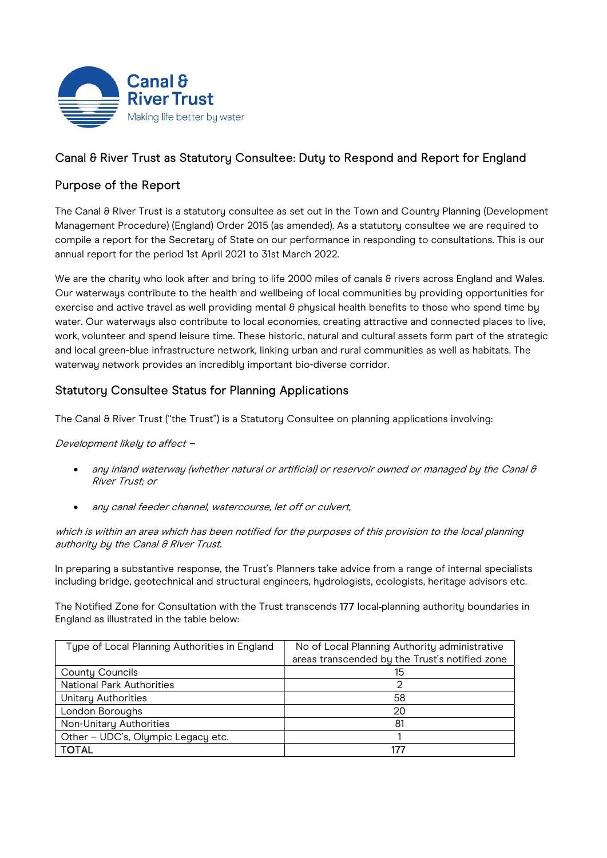

## Canal & River Trust as Statutory Consultee: Duty to Respond and Report for England

# Purpose of the Report

The Canal & River Trust is a statutory consultee as set out in the Town and Country Planning (Development Management Procedure) (England) Order 2015 (as amended). As a statutory consultee we are required to compile a report for the Secretary of State on our performance in responding to consultations. This is our annual report for the period 1st April 2021 to 31st March 2022.

We are the charity who look after and bring to life 2000 miles of canals 8 rivers across England and Wales. Our waterways contribute to the health and wellbeing of local communities by providing opportunities for exercise and active travel as well providing mental  $\theta$  physical health benefits to those who spend time by water. Our waterways also contribute to local economies, creating attractive and connected places to live, work, volunteer and spend leisure time. These historic, natural and cultural assets form part of the strategic and local green-blue infrastructure network, linking urban and rural communities as well as habitats. The waterway network provides an incredibly important bio-diverse corridor.

# Statutory Consultee Status for Planning Applications

The Canal & River Trust ("the Trust") is a Statutory Consultee on planning applications involving:

Development likely to affect –

- any inland waterway (whether natural or artificial) or reservoir owned or managed by the Canal & River Trust; or
- any canal feeder channel, watercourse, let off or culvert,

which is within an area which has been notified for the purposes of this provision to the local planning authority by the Canal & River Trust.

In preparing a substantive response, the Trust's Planners take advice from a range of internal specialists including bridge, geotechnical and structural engineers, hydrologists, ecologists, heritage advisors etc.

The Notified Zone for Consultation with the Trust transcends 177 local-planning authority boundaries in England as illustrated in the table below:

| Type of Local Planning Authorities in England | No of Local Planning Authority administrative  |  |  |
|-----------------------------------------------|------------------------------------------------|--|--|
|                                               | areas transcended by the Trust's notified zone |  |  |
| <b>County Councils</b>                        | 15                                             |  |  |
| <b>National Park Authorities</b>              |                                                |  |  |
| <b>Unitary Authorities</b>                    | 58                                             |  |  |
| London Boroughs                               | 20                                             |  |  |
| Non-Unitary Authorities                       | 81                                             |  |  |
| Other - UDC's, Olympic Legacy etc.            |                                                |  |  |
| <b>TOTAL</b>                                  | 177                                            |  |  |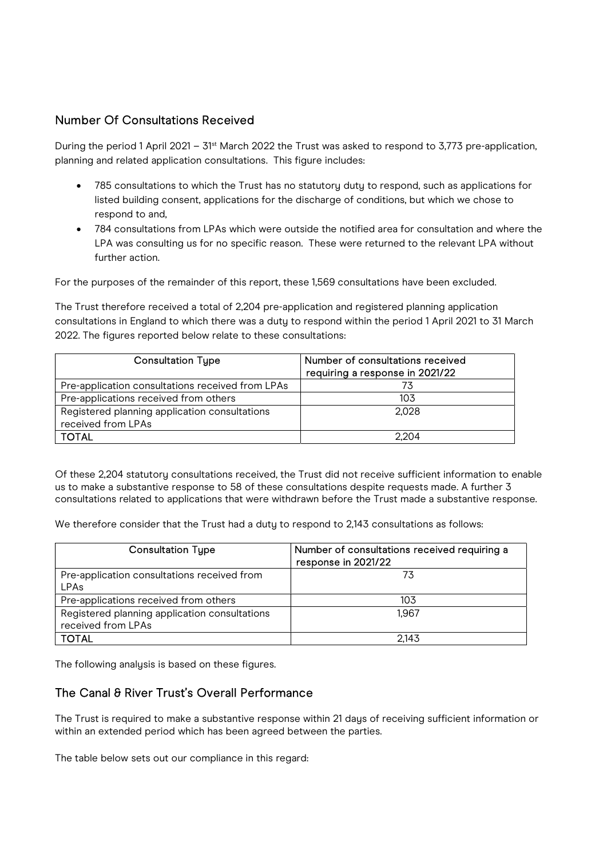### Number Of Consultations Received

During the period 1 April 2021 – 31<sup>st</sup> March 2022 the Trust was asked to respond to 3,773 pre-application, planning and related application consultations. This figure includes:

- 785 consultations to which the Trust has no statutoru dutu to respond, such as applications for listed building consent, applications for the discharge of conditions, but which we chose to respond to and,
- 784 consultations from LPAs which were outside the notified area for consultation and where the LPA was consulting us for no specific reason. These were returned to the relevant LPA without further action.

For the purposes of the remainder of this report, these 1,569 consultations have been excluded.

The Trust therefore received a total of 2,204 pre-application and registered planning application consultations in England to which there was a duty to respond within the period 1 April 2021 to 31 March 2022. The figures reported below relate to these consultations:

| <b>Consultation Type</b>                         | Number of consultations received<br>requiring a response in 2021/22 |
|--------------------------------------------------|---------------------------------------------------------------------|
| Pre-application consultations received from LPAs |                                                                     |
| Pre-applications received from others            | 103                                                                 |
| Registered planning application consultations    | 2.028                                                               |
| received from LPAs                               |                                                                     |
| <b>TOTAL</b>                                     | 2.204                                                               |

Of these 2,204 statutory consultations received, the Trust did not receive sufficient information to enable us to make a substantive response to 58 of these consultations despite requests made. A further 3 consultations related to applications that were withdrawn before the Trust made a substantive response.

We therefore consider that the Trust had a duty to respond to 2,143 consultations as follows:

| <b>Consultation Type</b>                      | Number of consultations received requiring a<br>response in 2021/22 |
|-----------------------------------------------|---------------------------------------------------------------------|
| Pre-application consultations received from   | 73                                                                  |
| <b>LPAs</b>                                   |                                                                     |
| Pre-applications received from others         | 103                                                                 |
| Registered planning application consultations | 1.967                                                               |
| received from LPAs                            |                                                                     |
| <b>TOTAL</b>                                  | 2.143                                                               |

The following analysis is based on these figures.

#### The Canal & River Trust's Overall Performance

The Trust is required to make a substantive response within 21 days of receiving sufficient information or within an extended period which has been agreed between the parties.

The table below sets out our compliance in this regard: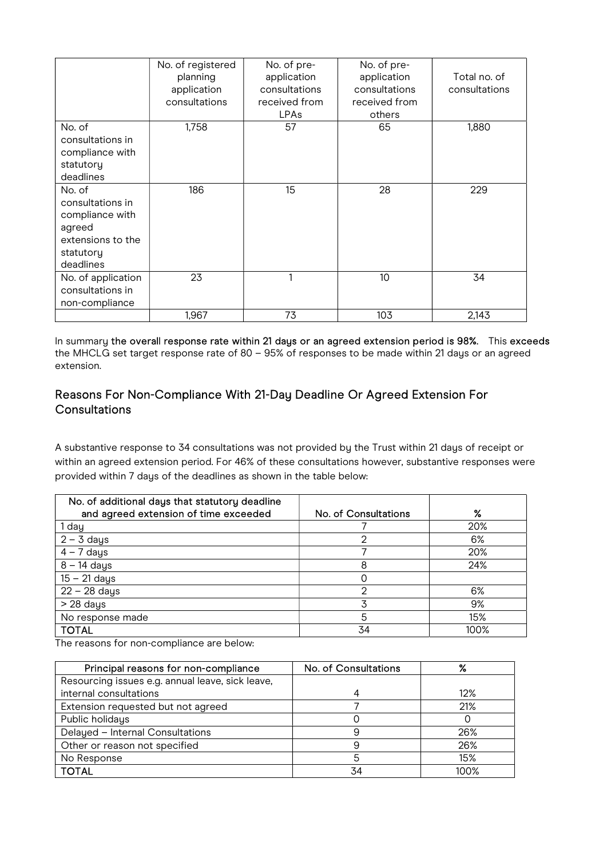|                                                                                                        | No. of registered<br>planning<br>application<br>consultations | No. of pre-<br>application<br>consultations<br>received from<br><b>LPAs</b> | No. of pre-<br>application<br>consultations<br>received from<br>others | Total no. of<br>consultations |
|--------------------------------------------------------------------------------------------------------|---------------------------------------------------------------|-----------------------------------------------------------------------------|------------------------------------------------------------------------|-------------------------------|
| No. of<br>consultations in<br>compliance with<br>statutory<br>deadlines                                | 1,758                                                         | 57                                                                          | 65                                                                     | 1,880                         |
| No. of<br>consultations in<br>compliance with<br>agreed<br>extensions to the<br>statutory<br>deadlines | 186                                                           | 15 <sup>15</sup>                                                            | 28                                                                     | 229                           |
| No. of application<br>consultations in<br>non-compliance                                               | 23                                                            |                                                                             | 10                                                                     | 34                            |
|                                                                                                        | 1,967                                                         | 73                                                                          | 103                                                                    | 2,143                         |

In summary the overall response rate within 21 days or an agreed extension period is 98%. This exceeds the MHCLG set target response rate of 80 – 95% of responses to be made within 21 days or an agreed extension.

### Reasons For Non-Compliance With 21-Day Deadline Or Agreed Extension For Consultations

A substantive response to 34 consultations was not provided by the Trust within 21 days of receipt or within an agreed extension period. For 46% of these consultations however, substantive responses were provided within 7 days of the deadlines as shown in the table below:

| No. of additional days that statutory deadline |                      |      |
|------------------------------------------------|----------------------|------|
| and agreed extension of time exceeded          | No. of Consultations | $\%$ |
| 1 day                                          |                      | 20%  |
| $2 - 3$ days                                   |                      | 6%   |
| $4 - 7$ days                                   |                      | 20%  |
| $8 - 14$ days                                  | 8                    | 24%  |
| $15 - 21$ days                                 |                      |      |
| 22 - 28 days                                   |                      | 6%   |
| $> 28$ days                                    |                      | 9%   |
| No response made                               | 5                    | 15%  |
| <b>TOTAL</b>                                   | 34                   | 100% |

The reasons for non-compliance are below:

| Principal reasons for non-compliance             | No. of Consultations | %       |
|--------------------------------------------------|----------------------|---------|
| Resourcing issues e.g. annual leave, sick leave, |                      |         |
| internal consultations                           |                      | 12%     |
| Extension requested but not agreed               |                      | 21%     |
| Public holidays                                  |                      |         |
| Delayed - Internal Consultations                 |                      | 26%     |
| Other or reason not specified                    |                      | 26%     |
| No Response                                      |                      | 15%     |
| <b>TOTAL</b>                                     | 34                   | $100\%$ |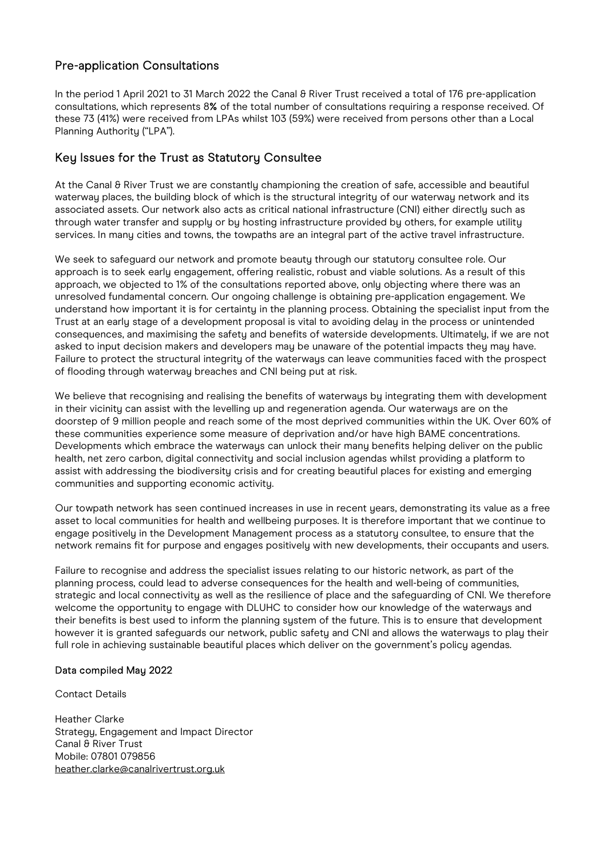## Pre-application Consultations

In the period 1 April 2021 to 31 March 2022 the Canal & River Trust received a total of 176 pre-application consultations, which represents 8% of the total number of consultations requiring a response received. Of these 73 (41%) were received from LPAs whilst 103 (59%) were received from persons other than a Local Planning Authority ("LPA").

### Key Issues for the Trust as Statutory Consultee

At the Canal & River Trust we are constantly championing the creation of safe, accessible and beautiful waterway places, the building block of which is the structural integrity of our waterway network and its associated assets. Our network also acts as critical national infrastructure (CNI) either directly such as through water transfer and supply or by hosting infrastructure provided by others, for example utility services. In many cities and towns, the towpaths are an integral part of the active travel infrastructure.

We seek to safeguard our network and promote beauty through our statutory consultee role. Our approach is to seek early engagement, offering realistic, robust and viable solutions. As a result of this approach, we objected to 1% of the consultations reported above, only objecting where there was an unresolved fundamental concern. Our ongoing challenge is obtaining pre-application engagement. We understand how important it is for certainty in the planning process. Obtaining the specialist input from the Trust at an early stage of a development proposal is vital to avoiding delay in the process or unintended consequences, and maximising the safety and benefits of waterside developments. Ultimately, if we are not asked to input decision makers and developers may be unaware of the potential impacts they may have. Failure to protect the structural integrity of the waterways can leave communities faced with the prospect of flooding through waterway breaches and CNI being put at risk.

We believe that recognising and realising the benefits of waterways by integrating them with development in their vicinitu can assist with the levelling up and regeneration agenda. Our waterwaus are on the doorstep of 9 million people and reach some of the most deprived communities within the UK. Over 60% of these communities experience some measure of deprivation and/or have high BAME concentrations. Developments which embrace the waterways can unlock their many benefits helping deliver on the public health, net zero carbon, digital connectivity and social inclusion agendas whilst providing a platform to assist with addressing the biodiversity crisis and for creating beautiful places for existing and emerging communities and supporting economic activity.

Our towpath network has seen continued increases in use in recent years, demonstrating its value as a free asset to local communities for health and wellbeing purposes. It is therefore important that we continue to engage positively in the Development Management process as a statutory consultee, to ensure that the network remains fit for purpose and engages positively with new developments, their occupants and users.

Failure to recognise and address the specialist issues relating to our historic network, as part of the planning process, could lead to adverse consequences for the health and well-being of communities, strategic and local connectivity as well as the resilience of place and the safeguarding of CNI. We therefore welcome the opportunity to engage with DLUHC to consider how our knowledge of the waterways and their benefits is best used to inform the planning system of the future. This is to ensure that development however it is granted safeguards our network, public safety and CNI and allows the waterways to play their full role in achieving sustainable beautiful places which deliver on the government's policy agendas.

#### Data compiled May 2022

Contact Details

Heather Clarke Strategy, Engagement and Impact Director Canal & River Trust Mobile: 07801 079856 heather.clarke@canalrivertrust.org.uk